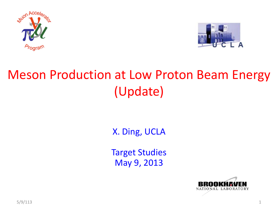



### Meson Production at Low Proton Beam Energy (Update)

X. Ding, UCLA

Target Studies May 9, 2013

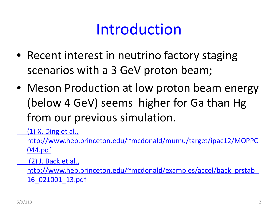# Introduction

- Recent interest in neutrino factory staging scenarios with a 3 GeV proton beam;
- Meson Production at low proton beam energy (below 4 GeV) seems higher for Ga than Hg from our previous simulation.

(1) X. Ding et al.,

http://www.hep.princeton.edu/~mcdonald/mumu/target/ipac12/MOPPC 044.pdf

(2) J. Back et al.,

http://www.hep.princeton.edu/~mcdonald/examples/accel/back\_prstab\_ 16\_021001\_13.pdf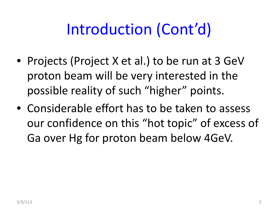# Introduction (Cont'd)

- Projects (Project X et al.) to be run at 3 GeV proton beam will be very interested in the possible reality of such "higher" points.
- Considerable effort has to be taken to assess our confidence on this "hot topic" of excess of Ga over Hg for proton beam below 4GeV.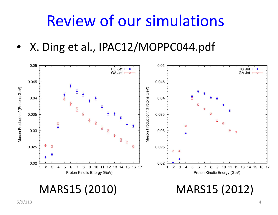## Review of our simulations

• X. Ding et al., IPAC12/MOPPC044.pdf



### MARS15 (2010)

(2010) MARS15 (2012)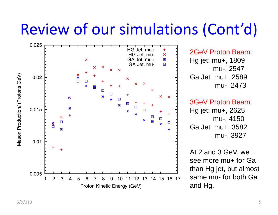# Review of our simulations (Cont'd)



2GeV Proton Beam: Hg jet: mu+, 1809 mu-, 2547 Ga Jet: mu+, 2589 mu-, 2473

#### 3GeV Proton Beam:

Hg jet: mu+, 2625 mu-, 4150 Ga Jet: mu+, 3582 mu-, 3927

At 2 and 3 GeV, we see more mu+ for Ga than Hg jet, but almost same mu- for both Ga and Hg.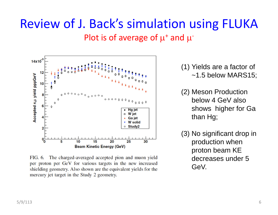### Review of J. Back's simulation using FLUKA Plot is of average of  $\mu^{\text{*}}$  and  $\mu^{\text{-}}$



FIG. 6. The charged-averaged accepted pion and muon yield per proton per GeV for various targets in the new increased shielding geometry. Also shown are the equivalent yields for the mercury jet target in the Study 2 geometry.

(1) Yields are a factor of ~1.5 below MARS15;

- (2) Meson Production below 4 GeV also shows higher for Ga than Hg;
- (3) No significant drop in production when proton beam KE decreases under 5 GeV.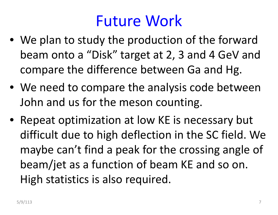## Future Work

- We plan to study the production of the forward beam onto <sup>a</sup> "Disk" target at 2, 3 and 4 GeV and compare the difference between Ga and Hg.
- We need to compare the analysis code between John and us for the meson counting.
- Repeat optimization at low KE is necessary but difficult due to high deflection in the SC field. We maybe can't find <sup>a</sup> peak for the crossing angle of beam/jet as <sup>a</sup> function of beam KE and so on. High statistics is also required.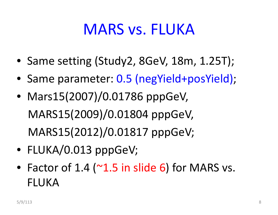## MARS vs. FLUKA

- Same setting (Study2, 8GeV, 18m, 1.25T);
- Same parameter: 0.5 (negYield+posYield);
- Mars15(2007)/0.01786 pppGeV, MARS15(2009)/0.01804 pppGeV, MARS15(2012)/0.01817 pppGeV;
- FLUKA/0.013 pppGeV;
- Factor of  $1.4$  ( $^{\sim}1.5$  in slide 6) for MARS vs. FLUKA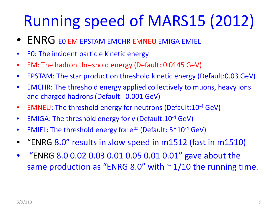# Running speed of MARS15 (2012)

- $\bullet$  ENRG EO EM EPSTAM EMCHR EMNEU EMIGA EMIEL
- $\bullet$ E0: The incident particle kinetic energy
- $\bullet$ EM: The hadron threshold energy (Default: 0.0145 GeV)
- $\bullet$ EPSTAM: The star production threshold kinetic energy (Default:0.03 GeV)
- $\bullet$  EMCHR: The threshold energy applied collectively to muons, heavy ions and charged hadrons (Default: 0.001 GeV)
- $\bullet$ ● EMNEU: The threshold energy for neutrons (Default:10<sup>-4</sup> GeV)
- $\bullet$  $\bullet$  EMIGA: The threshold energy for γ (Default:10<sup>-4</sup> GeV)
- $\bullet$  $\bullet$   $\;$  EMIEL: The threshold energy for  $\mathsf{e}^\pm$  (Default: 5\*10<sup>-4</sup> GeV)
- •"ENRG 8.0" results in slow speed in m1512 (fast in m1510)
- $\bullet$  "ENRG 8.0 0.02 0.03 0.01 0.05 0.01 0.01" gave about the same production as "ENRG 8.0" with  $\sim$  1/10 the running time.